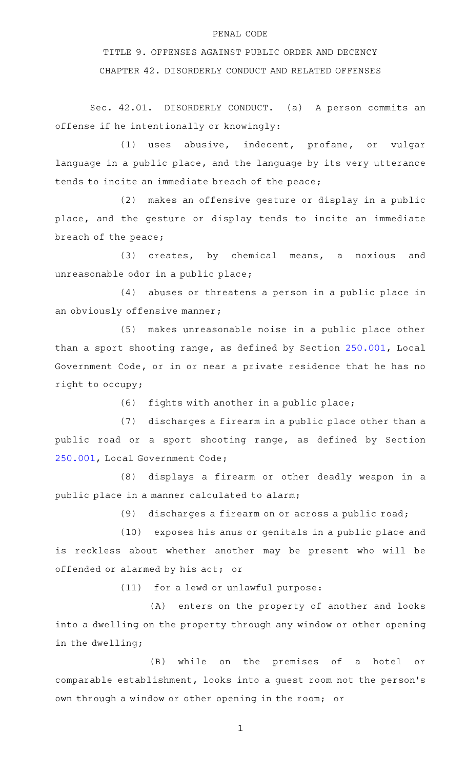## PENAL CODE

TITLE 9. OFFENSES AGAINST PUBLIC ORDER AND DECENCY CHAPTER 42. DISORDERLY CONDUCT AND RELATED OFFENSES

Sec. 42.01. DISORDERLY CONDUCT. (a) A person commits an offense if he intentionally or knowingly:

(1) uses abusive, indecent, profane, or vulgar language in a public place, and the language by its very utterance tends to incite an immediate breach of the peace;

(2) makes an offensive gesture or display in a public place, and the gesture or display tends to incite an immediate breach of the peace;

(3) creates, by chemical means, a noxious and unreasonable odor in a public place;

 $(4)$  abuses or threatens a person in a public place in an obviously offensive manner;

(5) makes unreasonable noise in a public place other than a sport shooting range, as defined by Section [250.001,](http://www.statutes.legis.state.tx.us/GetStatute.aspx?Code=LG&Value=250.001) Local Government Code, or in or near a private residence that he has no right to occupy;

 $(6)$  fights with another in a public place;

 $(7)$  discharges a firearm in a public place other than a public road or a sport shooting range, as defined by Section [250.001,](http://www.statutes.legis.state.tx.us/GetStatute.aspx?Code=LG&Value=250.001) Local Government Code;

(8) displays a firearm or other deadly weapon in a public place in a manner calculated to alarm;

 $(9)$  discharges a firearm on or across a public road;

(10) exposes his anus or genitals in a public place and is reckless about whether another may be present who will be offended or alarmed by his act; or

 $(11)$  for a lewd or unlawful purpose:

(A) enters on the property of another and looks into a dwelling on the property through any window or other opening in the dwelling;

(B) while on the premises of a hotel or comparable establishment, looks into a guest room not the person 's own through a window or other opening in the room; or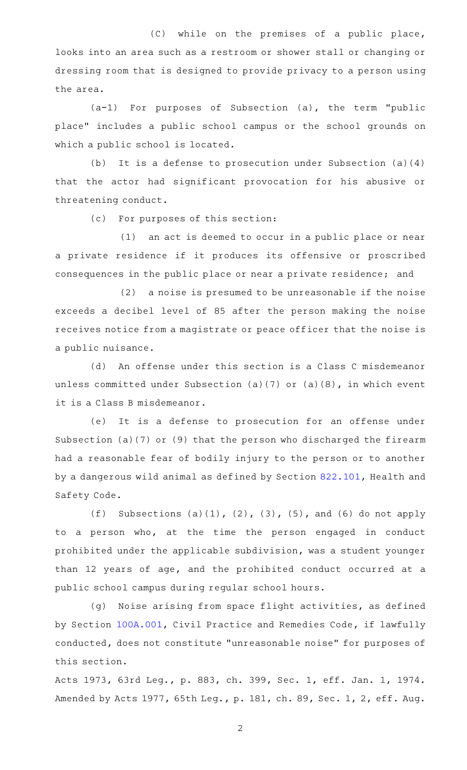(C) while on the premises of a public place, looks into an area such as a restroom or shower stall or changing or dressing room that is designed to provide privacy to a person using the area.

 $(a-1)$  For purposes of Subsection  $(a)$ , the term "public place" includes a public school campus or the school grounds on which a public school is located.

(b) It is a defense to prosecution under Subsection (a)(4) that the actor had significant provocation for his abusive or threatening conduct.

(c) For purposes of this section:

(1) an act is deemed to occur in a public place or near a private residence if it produces its offensive or proscribed consequences in the public place or near a private residence; and

 $(2)$  a noise is presumed to be unreasonable if the noise exceeds a decibel level of 85 after the person making the noise receives notice from a magistrate or peace officer that the noise is a public nuisance.

(d) An offense under this section is a Class C misdemeanor unless committed under Subsection (a)(7) or (a)(8), in which event it is a Class B misdemeanor.

(e) It is a defense to prosecution for an offense under Subsection (a)(7) or (9) that the person who discharged the firearm had a reasonable fear of bodily injury to the person or to another by a dangerous wild animal as defined by Section [822.101](http://www.statutes.legis.state.tx.us/GetStatute.aspx?Code=HS&Value=822.101), Health and Safety Code.

(f) Subsections (a)(1), (2), (3), (5), and (6) do not apply to a person who, at the time the person engaged in conduct prohibited under the applicable subdivision, was a student younger than 12 years of age, and the prohibited conduct occurred at a public school campus during regular school hours.

(g) Noise arising from space flight activities, as defined by Section [100A.001,](http://www.statutes.legis.state.tx.us/GetStatute.aspx?Code=CP&Value=100A.001) Civil Practice and Remedies Code, if lawfully conducted, does not constitute "unreasonable noise" for purposes of this section.

Acts 1973, 63rd Leg., p. 883, ch. 399, Sec. 1, eff. Jan. 1, 1974. Amended by Acts 1977, 65th Leg., p. 181, ch. 89, Sec. 1, 2, eff. Aug.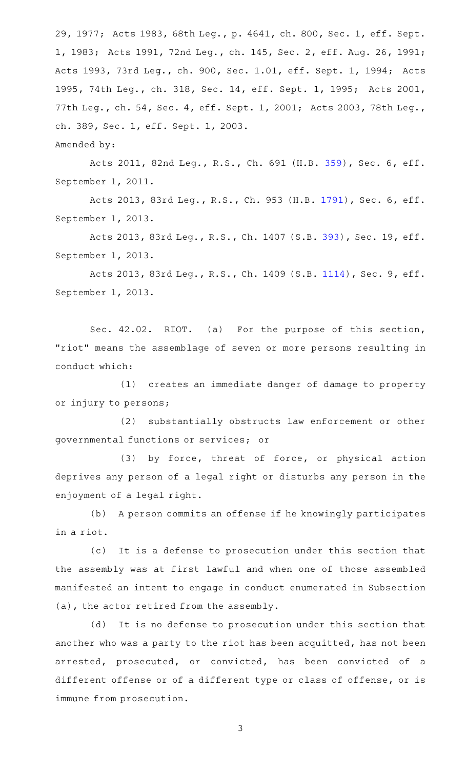29, 1977; Acts 1983, 68th Leg., p. 4641, ch. 800, Sec. 1, eff. Sept. 1, 1983; Acts 1991, 72nd Leg., ch. 145, Sec. 2, eff. Aug. 26, 1991; Acts 1993, 73rd Leg., ch. 900, Sec. 1.01, eff. Sept. 1, 1994; Acts 1995, 74th Leg., ch. 318, Sec. 14, eff. Sept. 1, 1995; Acts 2001, 77th Leg., ch. 54, Sec. 4, eff. Sept. 1, 2001; Acts 2003, 78th Leg., ch. 389, Sec. 1, eff. Sept. 1, 2003.

Amended by:

Acts 2011, 82nd Leg., R.S., Ch. 691 (H.B. [359](http://www.legis.state.tx.us/tlodocs/82R/billtext/html/HB00359F.HTM)), Sec. 6, eff. September 1, 2011.

Acts 2013, 83rd Leg., R.S., Ch. 953 (H.B. [1791](http://www.legis.state.tx.us/tlodocs/83R/billtext/html/HB01791F.HTM)), Sec. 6, eff. September 1, 2013.

Acts 2013, 83rd Leg., R.S., Ch. 1407 (S.B. [393\)](http://www.legis.state.tx.us/tlodocs/83R/billtext/html/SB00393F.HTM), Sec. 19, eff. September 1, 2013.

Acts 2013, 83rd Leg., R.S., Ch. 1409 (S.B. [1114](http://www.legis.state.tx.us/tlodocs/83R/billtext/html/SB01114F.HTM)), Sec. 9, eff. September 1, 2013.

Sec. 42.02. RIOT. (a) For the purpose of this section, "riot" means the assemblage of seven or more persons resulting in conduct which:

(1) creates an immediate danger of damage to property or injury to persons;

(2) substantially obstructs law enforcement or other governmental functions or services; or

(3) by force, threat of force, or physical action deprives any person of a legal right or disturbs any person in the enjoyment of a legal right.

(b) A person commits an offense if he knowingly participates in a riot.

(c) It is a defense to prosecution under this section that the assembly was at first lawful and when one of those assembled manifested an intent to engage in conduct enumerated in Subsection (a), the actor retired from the assembly.

(d) It is no defense to prosecution under this section that another who was a party to the riot has been acquitted, has not been arrested, prosecuted, or convicted, has been convicted of a different offense or of a different type or class of offense, or is immune from prosecution.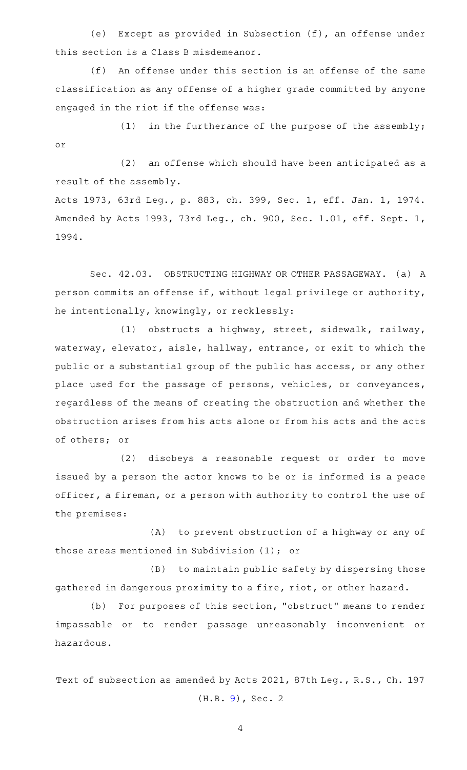(e) Except as provided in Subsection  $(f)$ , an offense under this section is a Class B misdemeanor.

(f) An offense under this section is an offense of the same classification as any offense of a higher grade committed by anyone engaged in the riot if the offense was:

(1) in the furtherance of the purpose of the assembly; or

(2) an offense which should have been anticipated as a result of the assembly.

Acts 1973, 63rd Leg., p. 883, ch. 399, Sec. 1, eff. Jan. 1, 1974. Amended by Acts 1993, 73rd Leg., ch. 900, Sec. 1.01, eff. Sept. 1, 1994.

Sec. 42.03. OBSTRUCTING HIGHWAY OR OTHER PASSAGEWAY. (a) A person commits an offense if, without legal privilege or authority, he intentionally, knowingly, or recklessly:

(1) obstructs a highway, street, sidewalk, railway, waterway, elevator, aisle, hallway, entrance, or exit to which the public or a substantial group of the public has access, or any other place used for the passage of persons, vehicles, or conveyances, regardless of the means of creating the obstruction and whether the obstruction arises from his acts alone or from his acts and the acts of others; or

(2) disobeys a reasonable request or order to move issued by a person the actor knows to be or is informed is a peace officer, a fireman, or a person with authority to control the use of the premises:

(A) to prevent obstruction of a highway or any of those areas mentioned in Subdivision (1); or

(B) to maintain public safety by dispersing those gathered in dangerous proximity to a fire, riot, or other hazard.

(b) For purposes of this section, "obstruct" means to render impassable or to render passage unreasonably inconvenient or hazardous.

Text of subsection as amended by Acts 2021, 87th Leg., R.S., Ch. 197 (H.B. [9\)](http://www.legis.state.tx.us/tlodocs/87R/billtext/html/HB00009F.HTM), Sec. 2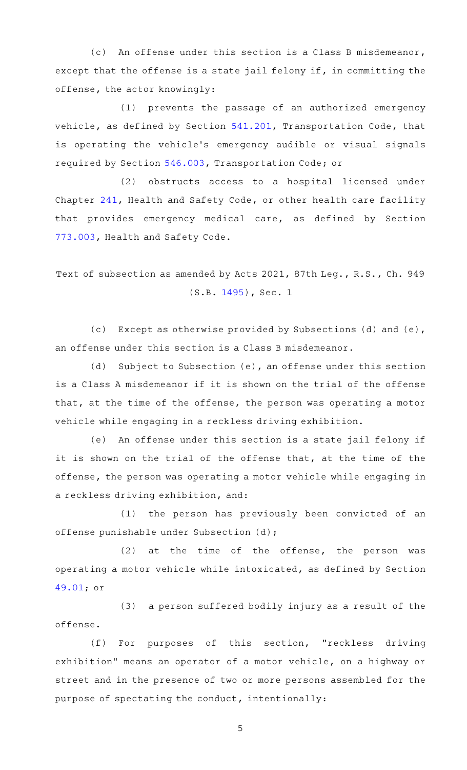(c) An offense under this section is a Class B misdemeanor, except that the offense is a state jail felony if, in committing the offense, the actor knowingly:

(1) prevents the passage of an authorized emergency vehicle, as defined by Section [541.201,](http://www.statutes.legis.state.tx.us/GetStatute.aspx?Code=TN&Value=541.201) Transportation Code, that is operating the vehicle's emergency audible or visual signals required by Section [546.003](http://www.statutes.legis.state.tx.us/GetStatute.aspx?Code=TN&Value=546.003), Transportation Code; or

(2) obstructs access to a hospital licensed under Chapter [241,](http://www.statutes.legis.state.tx.us/GetStatute.aspx?Code=HS&Value=241) Health and Safety Code, or other health care facility that provides emergency medical care, as defined by Section [773.003,](http://www.statutes.legis.state.tx.us/GetStatute.aspx?Code=HS&Value=773.003) Health and Safety Code.

Text of subsection as amended by Acts 2021, 87th Leg., R.S., Ch. 949 (S.B. [1495\)](http://www.legis.state.tx.us/tlodocs/87R/billtext/html/SB01495F.HTM), Sec. 1

(c) Except as otherwise provided by Subsections (d) and (e), an offense under this section is a Class B misdemeanor.

(d) Subject to Subsection (e), an offense under this section is a Class A misdemeanor if it is shown on the trial of the offense that, at the time of the offense, the person was operating a motor vehicle while engaging in a reckless driving exhibition.

(e) An offense under this section is a state jail felony if it is shown on the trial of the offense that, at the time of the offense, the person was operating a motor vehicle while engaging in a reckless driving exhibition, and:

(1) the person has previously been convicted of an offense punishable under Subsection (d);

 $(2)$  at the time of the offense, the person was operating a motor vehicle while intoxicated, as defined by Section [49.01;](http://www.statutes.legis.state.tx.us/GetStatute.aspx?Code=PE&Value=49.01) or

(3) a person suffered bodily injury as a result of the offense.

(f) For purposes of this section, "reckless driving exhibition" means an operator of a motor vehicle, on a highway or street and in the presence of two or more persons assembled for the purpose of spectating the conduct, intentionally: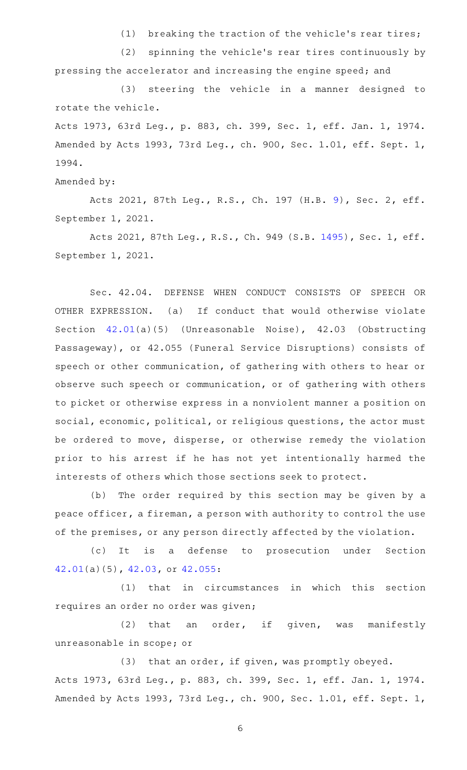(1) breaking the traction of the vehicle's rear tires;

(2) spinning the vehicle's rear tires continuously by pressing the accelerator and increasing the engine speed; and

(3) steering the vehicle in a manner designed to rotate the vehicle.

Acts 1973, 63rd Leg., p. 883, ch. 399, Sec. 1, eff. Jan. 1, 1974. Amended by Acts 1993, 73rd Leg., ch. 900, Sec. 1.01, eff. Sept. 1, 1994.

Amended by:

Acts 2021, 87th Leg., R.S., Ch. 197 (H.B. [9](http://www.legis.state.tx.us/tlodocs/87R/billtext/html/HB00009F.HTM)), Sec. 2, eff. September 1, 2021.

Acts 2021, 87th Leg., R.S., Ch. 949 (S.B. [1495](http://www.legis.state.tx.us/tlodocs/87R/billtext/html/SB01495F.HTM)), Sec. 1, eff. September 1, 2021.

Sec. 42.04. DEFENSE WHEN CONDUCT CONSISTS OF SPEECH OR OTHER EXPRESSION. (a) If conduct that would otherwise violate Section [42.01\(](http://www.statutes.legis.state.tx.us/GetStatute.aspx?Code=PE&Value=42.01)a)(5) (Unreasonable Noise), 42.03 (Obstructing Passageway), or 42.055 (Funeral Service Disruptions) consists of speech or other communication, of gathering with others to hear or observe such speech or communication, or of gathering with others to picket or otherwise express in a nonviolent manner a position on social, economic, political, or religious questions, the actor must be ordered to move, disperse, or otherwise remedy the violation prior to his arrest if he has not yet intentionally harmed the interests of others which those sections seek to protect.

(b) The order required by this section may be given by a peace officer, a fireman, a person with authority to control the use of the premises, or any person directly affected by the violation.

(c)AAIt is a defense to prosecution under Section [42.01\(](http://www.statutes.legis.state.tx.us/GetStatute.aspx?Code=PE&Value=42.01)a)(5), [42.03](http://www.statutes.legis.state.tx.us/GetStatute.aspx?Code=PE&Value=42.03), or [42.055](http://www.statutes.legis.state.tx.us/GetStatute.aspx?Code=PE&Value=42.055):

(1) that in circumstances in which this section requires an order no order was given;

(2) that an order, if given, was manifestly unreasonable in scope; or

 $(3)$  that an order, if given, was promptly obeyed. Acts 1973, 63rd Leg., p. 883, ch. 399, Sec. 1, eff. Jan. 1, 1974. Amended by Acts 1993, 73rd Leg., ch. 900, Sec. 1.01, eff. Sept. 1,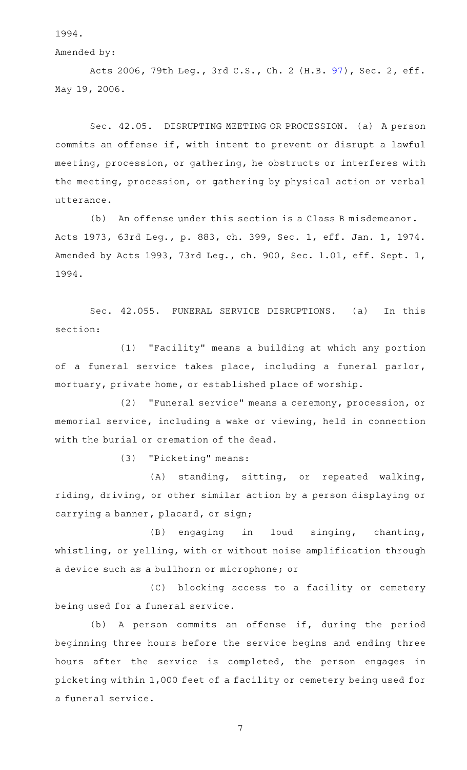1994.

Amended by:

Acts 2006, 79th Leg., 3rd C.S., Ch. 2 (H.B. [97\)](http://www.legis.state.tx.us/tlodocs/793/billtext/html/HB00097F.HTM), Sec. 2, eff. May 19, 2006.

Sec. 42.05. DISRUPTING MEETING OR PROCESSION. (a) A person commits an offense if, with intent to prevent or disrupt a lawful meeting, procession, or gathering, he obstructs or interferes with the meeting, procession, or gathering by physical action or verbal utterance.

(b) An offense under this section is a Class B misdemeanor. Acts 1973, 63rd Leg., p. 883, ch. 399, Sec. 1, eff. Jan. 1, 1974. Amended by Acts 1993, 73rd Leg., ch. 900, Sec. 1.01, eff. Sept. 1, 1994.

Sec. 42.055. FUNERAL SERVICE DISRUPTIONS. (a) In this section:

(1) "Facility" means a building at which any portion of a funeral service takes place, including a funeral parlor, mortuary, private home, or established place of worship.

(2) "Funeral service" means a ceremony, procession, or memorial service, including a wake or viewing, held in connection with the burial or cremation of the dead.

(3) "Picketing" means:

(A) standing, sitting, or repeated walking, riding, driving, or other similar action by a person displaying or carrying a banner, placard, or sign;

(B) engaging in loud singing, chanting, whistling, or yelling, with or without noise amplification through a device such as a bullhorn or microphone; or

(C) blocking access to a facility or cemetery being used for a funeral service.

(b) A person commits an offense if, during the period beginning three hours before the service begins and ending three hours after the service is completed, the person engages in picketing within 1,000 feet of a facility or cemetery being used for a funeral service.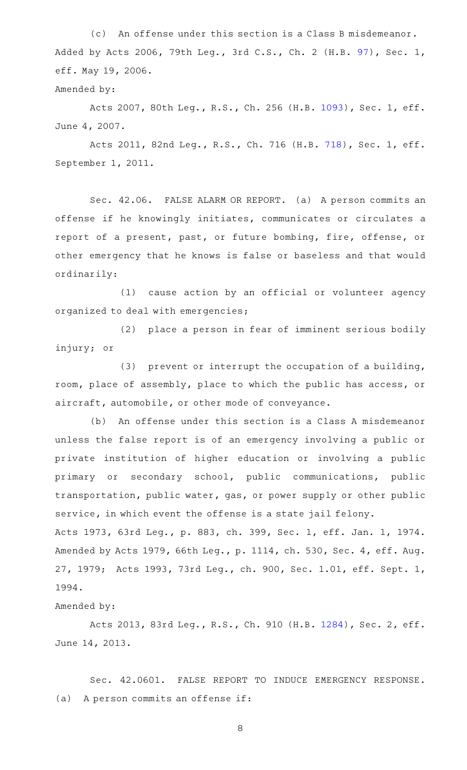(c) An offense under this section is a Class B misdemeanor. Added by Acts 2006, 79th Leg., 3rd C.S., Ch. 2 (H.B. [97](http://www.legis.state.tx.us/tlodocs/793/billtext/html/HB00097F.HTM)), Sec. 1, eff. May 19, 2006.

Amended by:

Acts 2007, 80th Leg., R.S., Ch. 256 (H.B. [1093](http://www.legis.state.tx.us/tlodocs/80R/billtext/html/HB01093F.HTM)), Sec. 1, eff. June 4, 2007.

Acts 2011, 82nd Leg., R.S., Ch. 716 (H.B. [718](http://www.legis.state.tx.us/tlodocs/82R/billtext/html/HB00718F.HTM)), Sec. 1, eff. September 1, 2011.

Sec. 42.06. FALSE ALARM OR REPORT. (a) A person commits an offense if he knowingly initiates, communicates or circulates a report of a present, past, or future bombing, fire, offense, or other emergency that he knows is false or baseless and that would ordinarily:

 $(1)$  cause action by an official or volunteer agency organized to deal with emergencies;

(2) place a person in fear of imminent serious bodily injury; or

(3) prevent or interrupt the occupation of a building, room, place of assembly, place to which the public has access, or aircraft, automobile, or other mode of conveyance.

(b) An offense under this section is a Class A misdemeanor unless the false report is of an emergency involving a public or private institution of higher education or involving a public primary or secondary school, public communications, public transportation, public water, gas, or power supply or other public service, in which event the offense is a state jail felony. Acts 1973, 63rd Leg., p. 883, ch. 399, Sec. 1, eff. Jan. 1, 1974. Amended by Acts 1979, 66th Leg., p. 1114, ch. 530, Sec. 4, eff. Aug.

27, 1979; Acts 1993, 73rd Leg., ch. 900, Sec. 1.01, eff. Sept. 1, 1994.

Amended by:

Acts 2013, 83rd Leg., R.S., Ch. 910 (H.B. [1284](http://www.legis.state.tx.us/tlodocs/83R/billtext/html/HB01284F.HTM)), Sec. 2, eff. June 14, 2013.

Sec. 42.0601. FALSE REPORT TO INDUCE EMERGENCY RESPONSE.  $(a)$  A person commits an offense if: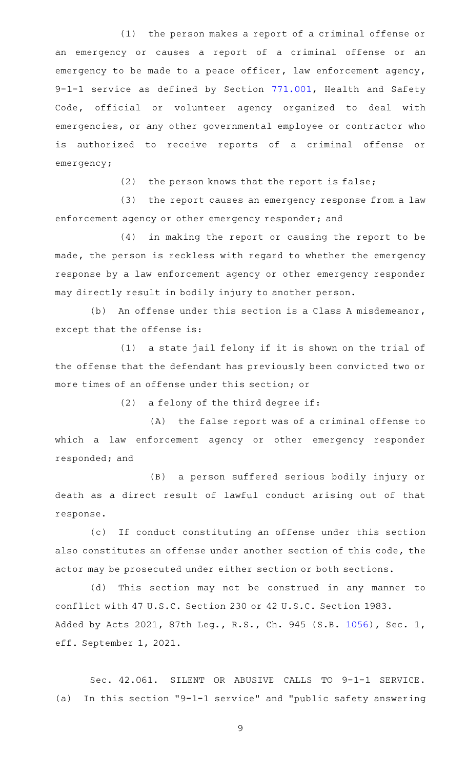$(1)$  the person makes a report of a criminal offense or an emergency or causes a report of a criminal offense or an emergency to be made to a peace officer, law enforcement agency, 9-1-1 service as defined by Section [771.001,](http://www.statutes.legis.state.tx.us/GetStatute.aspx?Code=HS&Value=771.001) Health and Safety Code, official or volunteer agency organized to deal with emergencies, or any other governmental employee or contractor who is authorized to receive reports of a criminal offense or emergency;

 $(2)$  the person knows that the report is false;

(3) the report causes an emergency response from a law enforcement agency or other emergency responder; and

 $(4)$  in making the report or causing the report to be made, the person is reckless with regard to whether the emergency response by a law enforcement agency or other emergency responder may directly result in bodily injury to another person.

(b) An offense under this section is a Class A misdemeanor, except that the offense is:

(1) a state jail felony if it is shown on the trial of the offense that the defendant has previously been convicted two or more times of an offense under this section; or

(2) a felony of the third degree if:

 $(A)$  the false report was of a criminal offense to which a law enforcement agency or other emergency responder responded; and

(B) a person suffered serious bodily injury or death as a direct result of lawful conduct arising out of that response.

(c) If conduct constituting an offense under this section also constitutes an offense under another section of this code, the actor may be prosecuted under either section or both sections.

(d) This section may not be construed in any manner to conflict with 47 U.S.C. Section 230 or 42 U.S.C. Section 1983. Added by Acts 2021, 87th Leg., R.S., Ch. 945 (S.B. [1056](http://www.legis.state.tx.us/tlodocs/87R/billtext/html/SB01056F.HTM)), Sec. 1, eff. September 1, 2021.

Sec. 42.061. SILENT OR ABUSIVE CALLS TO 9-1-1 SERVICE. (a) In this section "9-1-1 service" and "public safety answering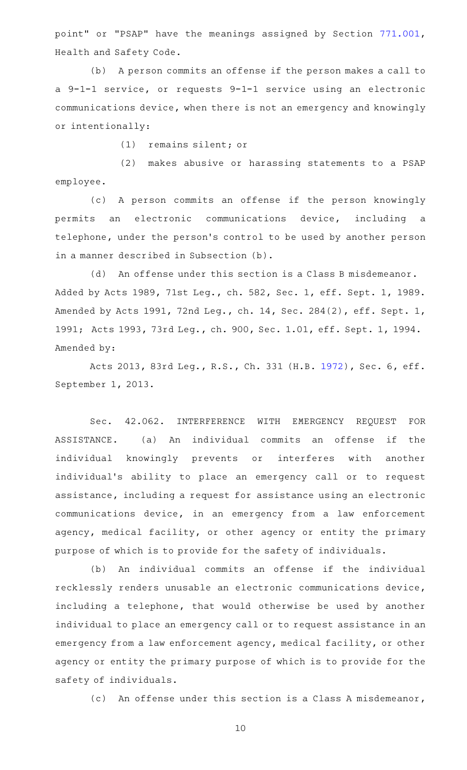point" or "PSAP" have the meanings assigned by Section [771.001](http://www.statutes.legis.state.tx.us/GetStatute.aspx?Code=HS&Value=771.001), Health and Safety Code.

(b) A person commits an offense if the person makes a call to a 9-1-1 service, or requests 9-1-1 service using an electronic communications device, when there is not an emergency and knowingly or intentionally:

(1) remains silent; or

(2) makes abusive or harassing statements to a PSAP employee.

(c)AAA person commits an offense if the person knowingly permits an electronic communications device, including a telephone, under the person 's control to be used by another person in a manner described in Subsection (b).

(d) An offense under this section is a Class B misdemeanor. Added by Acts 1989, 71st Leg., ch. 582, Sec. 1, eff. Sept. 1, 1989. Amended by Acts 1991, 72nd Leg., ch. 14, Sec. 284(2), eff. Sept. 1, 1991; Acts 1993, 73rd Leg., ch. 900, Sec. 1.01, eff. Sept. 1, 1994. Amended by:

Acts 2013, 83rd Leg., R.S., Ch. 331 (H.B. [1972](http://www.legis.state.tx.us/tlodocs/83R/billtext/html/HB01972F.HTM)), Sec. 6, eff. September 1, 2013.

Sec. 42.062. INTERFERENCE WITH EMERGENCY REQUEST FOR ASSISTANCE. (a) An individual commits an offense if the individual knowingly prevents or interferes with another individual's ability to place an emergency call or to request assistance, including a request for assistance using an electronic communications device, in an emergency from a law enforcement agency, medical facility, or other agency or entity the primary purpose of which is to provide for the safety of individuals.

(b) An individual commits an offense if the individual recklessly renders unusable an electronic communications device, including a telephone, that would otherwise be used by another individual to place an emergency call or to request assistance in an emergency from a law enforcement agency, medical facility, or other agency or entity the primary purpose of which is to provide for the safety of individuals.

(c) An offense under this section is a Class A misdemeanor,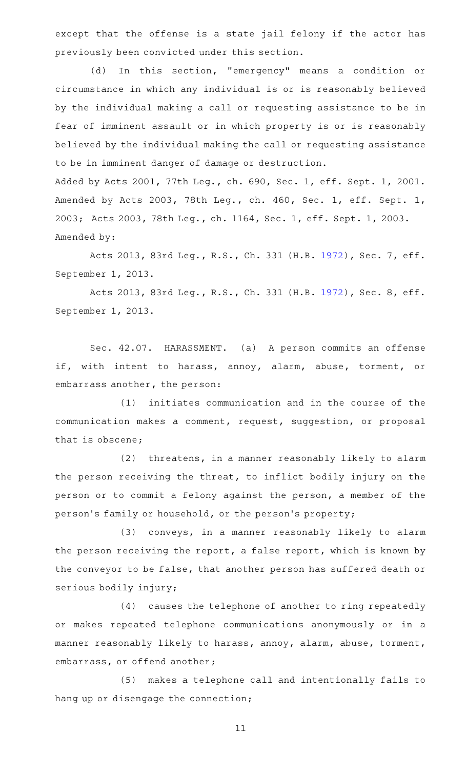except that the offense is a state jail felony if the actor has previously been convicted under this section.

(d) In this section, "emergency" means a condition or circumstance in which any individual is or is reasonably believed by the individual making a call or requesting assistance to be in fear of imminent assault or in which property is or is reasonably believed by the individual making the call or requesting assistance to be in imminent danger of damage or destruction.

Added by Acts 2001, 77th Leg., ch. 690, Sec. 1, eff. Sept. 1, 2001. Amended by Acts 2003, 78th Leg., ch. 460, Sec. 1, eff. Sept. 1, 2003; Acts 2003, 78th Leg., ch. 1164, Sec. 1, eff. Sept. 1, 2003. Amended by:

Acts 2013, 83rd Leg., R.S., Ch. 331 (H.B. [1972](http://www.legis.state.tx.us/tlodocs/83R/billtext/html/HB01972F.HTM)), Sec. 7, eff. September 1, 2013.

Acts 2013, 83rd Leg., R.S., Ch. 331 (H.B. [1972](http://www.legis.state.tx.us/tlodocs/83R/billtext/html/HB01972F.HTM)), Sec. 8, eff. September 1, 2013.

Sec. 42.07. HARASSMENT. (a) A person commits an offense if, with intent to harass, annoy, alarm, abuse, torment, or embarrass another, the person:

(1) initiates communication and in the course of the communication makes a comment, request, suggestion, or proposal that is obscene;

(2) threatens, in a manner reasonably likely to alarm the person receiving the threat, to inflict bodily injury on the person or to commit a felony against the person, a member of the person 's family or household, or the person 's property;

(3) conveys, in a manner reasonably likely to alarm the person receiving the report, a false report, which is known by the conveyor to be false, that another person has suffered death or serious bodily injury;

(4) causes the telephone of another to ring repeatedly or makes repeated telephone communications anonymously or in a manner reasonably likely to harass, annoy, alarm, abuse, torment, embarrass, or offend another;

(5) makes a telephone call and intentionally fails to hang up or disengage the connection;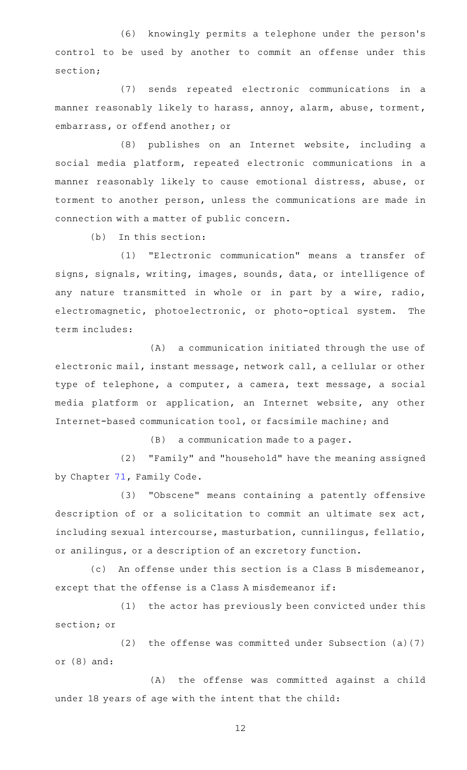(6) knowingly permits a telephone under the person's control to be used by another to commit an offense under this section;

(7) sends repeated electronic communications in a manner reasonably likely to harass, annoy, alarm, abuse, torment, embarrass, or offend another; or

(8) publishes on an Internet website, including a social media platform, repeated electronic communications in a manner reasonably likely to cause emotional distress, abuse, or torment to another person, unless the communications are made in connection with a matter of public concern.

 $(b)$  In this section:

(1) "Electronic communication" means a transfer of signs, signals, writing, images, sounds, data, or intelligence of any nature transmitted in whole or in part by a wire, radio, electromagnetic, photoelectronic, or photo-optical system. The term includes:

(A) a communication initiated through the use of electronic mail, instant message, network call, a cellular or other type of telephone, a computer, a camera, text message, a social media platform or application, an Internet website, any other Internet-based communication tool, or facsimile machine; and

 $(B)$  a communication made to a pager.

(2) "Family" and "household" have the meaning assigned by Chapter [71](http://www.statutes.legis.state.tx.us/GetStatute.aspx?Code=FA&Value=71), Family Code.

(3) "Obscene" means containing a patently offensive description of or a solicitation to commit an ultimate sex act, including sexual intercourse, masturbation, cunnilingus, fellatio, or anilingus, or a description of an excretory function.

(c) An offense under this section is a Class B misdemeanor, except that the offense is a Class A misdemeanor if:

(1) the actor has previously been convicted under this section; or

(2) the offense was committed under Subsection  $(a)(7)$ or (8) and:

(A) the offense was committed against a child under 18 years of age with the intent that the child: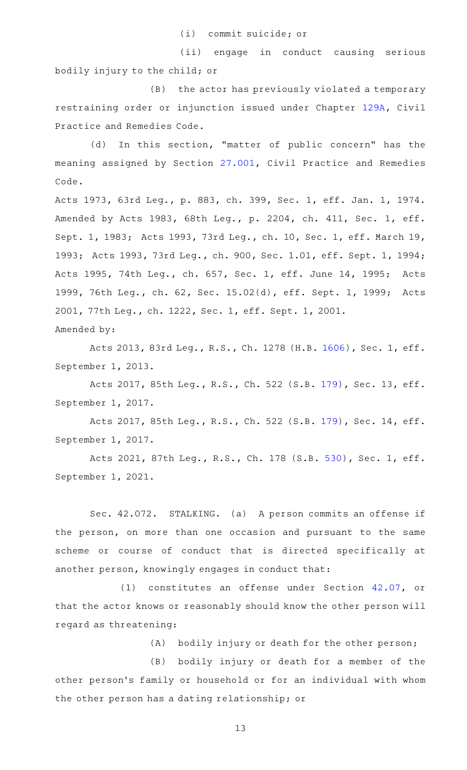(i) commit suicide; or

(ii) engage in conduct causing serious bodily injury to the child; or

(B) the actor has previously violated a temporary restraining order or injunction issued under Chapter [129A,](http://www.statutes.legis.state.tx.us/GetStatute.aspx?Code=CP&Value=129A) Civil Practice and Remedies Code.

(d) In this section, "matter of public concern" has the meaning assigned by Section [27.001,](http://www.statutes.legis.state.tx.us/GetStatute.aspx?Code=CP&Value=27.001) Civil Practice and Remedies Code.

Acts 1973, 63rd Leg., p. 883, ch. 399, Sec. 1, eff. Jan. 1, 1974. Amended by Acts 1983, 68th Leg., p. 2204, ch. 411, Sec. 1, eff. Sept. 1, 1983; Acts 1993, 73rd Leg., ch. 10, Sec. 1, eff. March 19, 1993; Acts 1993, 73rd Leg., ch. 900, Sec. 1.01, eff. Sept. 1, 1994; Acts 1995, 74th Leg., ch. 657, Sec. 1, eff. June 14, 1995; Acts 1999, 76th Leg., ch. 62, Sec. 15.02(d), eff. Sept. 1, 1999; Acts 2001, 77th Leg., ch. 1222, Sec. 1, eff. Sept. 1, 2001. Amended by:

Acts 2013, 83rd Leg., R.S., Ch. 1278 (H.B. [1606](http://www.legis.state.tx.us/tlodocs/83R/billtext/html/HB01606F.HTM)), Sec. 1, eff. September 1, 2013.

Acts 2017, 85th Leg., R.S., Ch. 522 (S.B. [179\)](http://www.legis.state.tx.us/tlodocs/85R/billtext/html/SB00179F.HTM), Sec. 13, eff. September 1, 2017.

Acts 2017, 85th Leg., R.S., Ch. 522 (S.B. [179\)](http://www.legis.state.tx.us/tlodocs/85R/billtext/html/SB00179F.HTM), Sec. 14, eff. September 1, 2017.

Acts 2021, 87th Leg., R.S., Ch. 178 (S.B. [530](http://www.legis.state.tx.us/tlodocs/87R/billtext/html/SB00530F.HTM)), Sec. 1, eff. September 1, 2021.

Sec. 42.072. STALKING. (a) A person commits an offense if the person, on more than one occasion and pursuant to the same scheme or course of conduct that is directed specifically at another person, knowingly engages in conduct that:

(1) constitutes an offense under Section [42.07](http://www.statutes.legis.state.tx.us/GetStatute.aspx?Code=PE&Value=42.07), or that the actor knows or reasonably should know the other person will regard as threatening:

(A) bodily injury or death for the other person;

(B) bodily injury or death for a member of the other person's family or household or for an individual with whom the other person has a dating relationship; or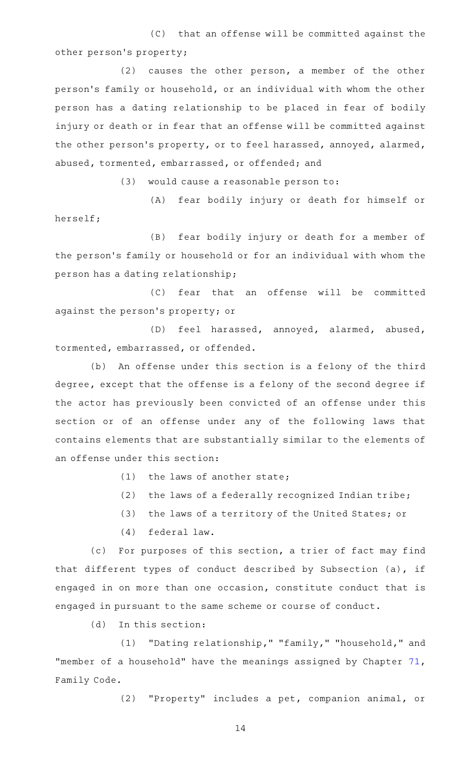(C) that an offense will be committed against the other person 's property;

 $(2)$  causes the other person, a member of the other person 's family or household, or an individual with whom the other person has a dating relationship to be placed in fear of bodily injury or death or in fear that an offense will be committed against the other person's property, or to feel harassed, annoyed, alarmed, abused, tormented, embarrassed, or offended; and

 $(3)$  would cause a reasonable person to:

(A) fear bodily injury or death for himself or herself;

(B) fear bodily injury or death for a member of the person 's family or household or for an individual with whom the person has a dating relationship;

(C) fear that an offense will be committed against the person 's property; or

(D) feel harassed, annoyed, alarmed, abused, tormented, embarrassed, or offended.

(b) An offense under this section is a felony of the third degree, except that the offense is a felony of the second degree if the actor has previously been convicted of an offense under this section or of an offense under any of the following laws that contains elements that are substantially similar to the elements of an offense under this section:

 $(1)$  the laws of another state;

(2) the laws of a federally recognized Indian tribe;

(3) the laws of a territory of the United States; or

(4) federal law.

(c) For purposes of this section, a trier of fact may find that different types of conduct described by Subsection (a), if engaged in on more than one occasion, constitute conduct that is engaged in pursuant to the same scheme or course of conduct.

 $(d)$  In this section:

(1) "Dating relationship," "family," "household," and "member of a household" have the meanings assigned by Chapter [71](http://www.statutes.legis.state.tx.us/GetStatute.aspx?Code=FA&Value=71), Family Code.

(2) "Property" includes a pet, companion animal, or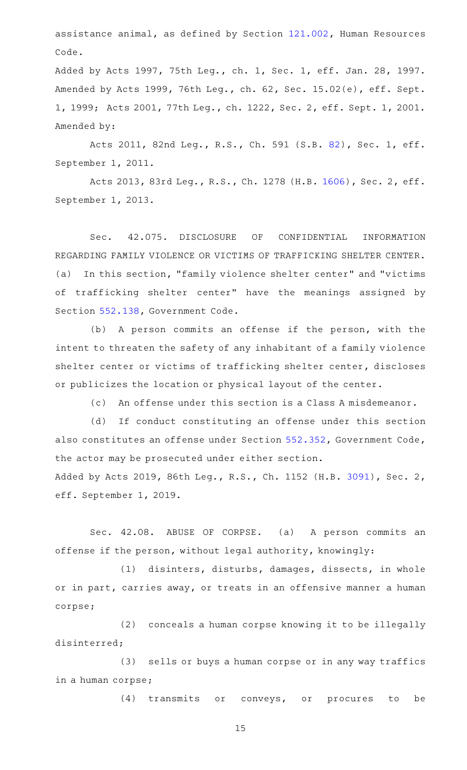assistance animal, as defined by Section [121.002,](http://www.statutes.legis.state.tx.us/GetStatute.aspx?Code=HR&Value=121.002) Human Resources Code.

Added by Acts 1997, 75th Leg., ch. 1, Sec. 1, eff. Jan. 28, 1997. Amended by Acts 1999, 76th Leg., ch. 62, Sec. 15.02(e), eff. Sept. 1, 1999; Acts 2001, 77th Leg., ch. 1222, Sec. 2, eff. Sept. 1, 2001. Amended by:

Acts 2011, 82nd Leg., R.S., Ch. 591 (S.B. [82](http://www.legis.state.tx.us/tlodocs/82R/billtext/html/SB00082F.HTM)), Sec. 1, eff. September 1, 2011.

Acts 2013, 83rd Leg., R.S., Ch. 1278 (H.B. [1606](http://www.legis.state.tx.us/tlodocs/83R/billtext/html/HB01606F.HTM)), Sec. 2, eff. September 1, 2013.

Sec. 42.075. DISCLOSURE OF CONFIDENTIAL INFORMATION REGARDING FAMILY VIOLENCE OR VICTIMS OF TRAFFICKING SHELTER CENTER. (a) In this section, "family violence shelter center" and "victims of trafficking shelter center" have the meanings assigned by Section [552.138,](http://www.statutes.legis.state.tx.us/GetStatute.aspx?Code=GV&Value=552.138) Government Code.

(b) A person commits an offense if the person, with the intent to threaten the safety of any inhabitant of a family violence shelter center or victims of trafficking shelter center, discloses or publicizes the location or physical layout of the center.

(c) An offense under this section is a Class A misdemeanor.

(d) If conduct constituting an offense under this section also constitutes an offense under Section [552.352](http://www.statutes.legis.state.tx.us/GetStatute.aspx?Code=GV&Value=552.352), Government Code, the actor may be prosecuted under either section. Added by Acts 2019, 86th Leg., R.S., Ch. 1152 (H.B. [3091\)](http://www.legis.state.tx.us/tlodocs/86R/billtext/html/HB03091F.HTM), Sec. 2, eff. September 1, 2019.

Sec. 42.08. ABUSE OF CORPSE. (a) A person commits an offense if the person, without legal authority, knowingly:

(1) disinters, disturbs, damages, dissects, in whole or in part, carries away, or treats in an offensive manner a human corpse;

(2) conceals a human corpse knowing it to be illegally disinterred;

(3) sells or buys a human corpse or in any way traffics in a human corpse;

(4) transmits or conveys, or procures to be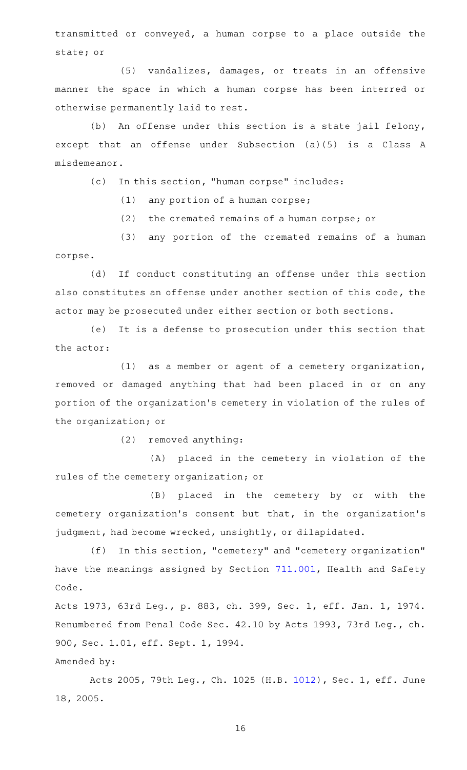transmitted or conveyed, a human corpse to a place outside the state; or

(5) vandalizes, damages, or treats in an offensive manner the space in which a human corpse has been interred or otherwise permanently laid to rest.

(b) An offense under this section is a state jail felony, except that an offense under Subsection (a)(5) is a Class A misdemeanor.

(c) In this section, "human corpse" includes:

 $(1)$  any portion of a human corpse;

 $(2)$  the cremated remains of a human corpse; or

(3) any portion of the cremated remains of a human corpse.

(d) If conduct constituting an offense under this section also constitutes an offense under another section of this code, the actor may be prosecuted under either section or both sections.

(e) It is a defense to prosecution under this section that the actor:

 $(1)$  as a member or agent of a cemetery organization, removed or damaged anything that had been placed in or on any portion of the organization 's cemetery in violation of the rules of the organization; or

(2) removed anything:

(A) placed in the cemetery in violation of the rules of the cemetery organization; or

(B) placed in the cemetery by or with the cemetery organization 's consent but that, in the organization 's judgment, had become wrecked, unsightly, or dilapidated.

(f) In this section, "cemetery" and "cemetery organization" have the meanings assigned by Section [711.001,](http://www.statutes.legis.state.tx.us/GetStatute.aspx?Code=HS&Value=711.001) Health and Safety Code.

Acts 1973, 63rd Leg., p. 883, ch. 399, Sec. 1, eff. Jan. 1, 1974. Renumbered from Penal Code Sec. 42.10 by Acts 1993, 73rd Leg., ch. 900, Sec. 1.01, eff. Sept. 1, 1994.

## Amended by:

Acts 2005, 79th Leg., Ch. 1025 (H.B. [1012](http://www.legis.state.tx.us/tlodocs/79R/billtext/html/HB01012F.HTM)), Sec. 1, eff. June 18, 2005.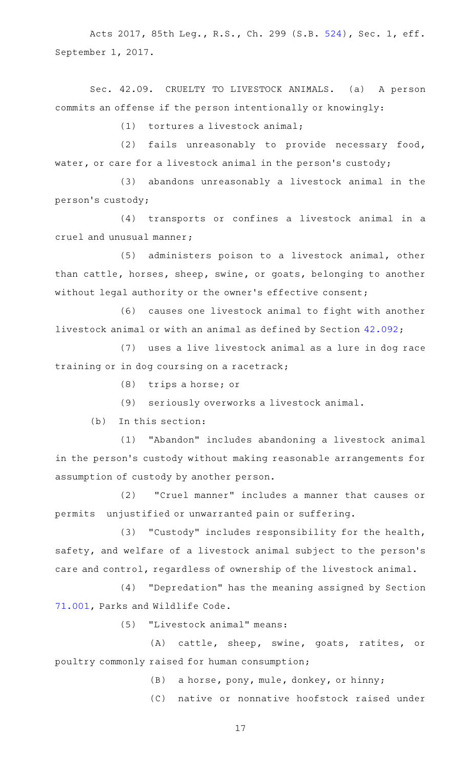Acts 2017, 85th Leg., R.S., Ch. 299 (S.B. [524](http://www.legis.state.tx.us/tlodocs/85R/billtext/html/SB00524F.HTM)), Sec. 1, eff. September 1, 2017.

Sec. 42.09. CRUELTY TO LIVESTOCK ANIMALS. (a) A person commits an offense if the person intentionally or knowingly:

 $(1)$  tortures a livestock animal;

 $(2)$  fails unreasonably to provide necessary food, water, or care for a livestock animal in the person's custody;

(3) abandons unreasonably a livestock animal in the person 's custody;

(4) transports or confines a livestock animal in a cruel and unusual manner;

(5) administers poison to a livestock animal, other than cattle, horses, sheep, swine, or goats, belonging to another without legal authority or the owner 's effective consent;

(6) causes one livestock animal to fight with another livestock animal or with an animal as defined by Section [42.092](http://www.statutes.legis.state.tx.us/GetStatute.aspx?Code=PE&Value=42.092);

(7) uses a live livestock animal as a lure in dog race training or in dog coursing on a racetrack;

 $(8)$  trips a horse; or

(9) seriously overworks a livestock animal.

 $(b)$  In this section:

(1) "Abandon" includes abandoning a livestock animal in the person's custody without making reasonable arrangements for assumption of custody by another person.

(2) "Cruel manner" includes a manner that causes or permits unjustified or unwarranted pain or suffering.

(3) "Custody" includes responsibility for the health, safety, and welfare of a livestock animal subject to the person's care and control, regardless of ownership of the livestock animal.

(4) "Depredation" has the meaning assigned by Section [71.001](http://www.statutes.legis.state.tx.us/GetStatute.aspx?Code=PW&Value=71.001), Parks and Wildlife Code.

(5) "Livestock animal" means:

(A) cattle, sheep, swine, goats, ratites, or poultry commonly raised for human consumption;

(B) a horse, pony, mule, donkey, or hinny;

(C) native or nonnative hoofstock raised under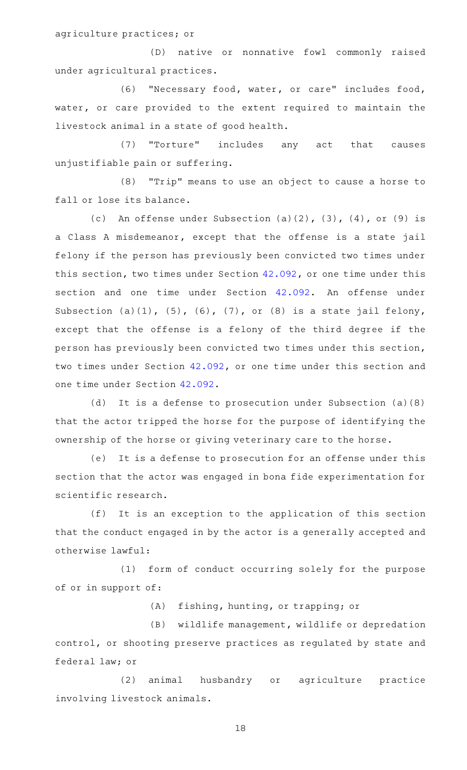agriculture practices; or

(D) native or nonnative fowl commonly raised under agricultural practices.

(6) "Necessary food, water, or care" includes food, water, or care provided to the extent required to maintain the livestock animal in a state of good health.

(7) "Torture" includes any act that causes unjustifiable pain or suffering.

(8) "Trip" means to use an object to cause a horse to fall or lose its balance.

(c) An offense under Subsection (a)(2),  $(3)$ ,  $(4)$ , or  $(9)$  is a Class A misdemeanor, except that the offense is a state jail felony if the person has previously been convicted two times under this section, two times under Section [42.092](http://www.statutes.legis.state.tx.us/GetStatute.aspx?Code=PE&Value=42.092), or one time under this section and one time under Section [42.092](http://www.statutes.legis.state.tx.us/GetStatute.aspx?Code=PE&Value=42.092). An offense under Subsection  $(a)(1)$ ,  $(5)$ ,  $(6)$ ,  $(7)$ , or  $(8)$  is a state jail felony, except that the offense is a felony of the third degree if the person has previously been convicted two times under this section, two times under Section [42.092,](http://www.statutes.legis.state.tx.us/GetStatute.aspx?Code=PE&Value=42.092) or one time under this section and one time under Section [42.092.](http://www.statutes.legis.state.tx.us/GetStatute.aspx?Code=PE&Value=42.092)

(d) It is a defense to prosecution under Subsection (a)(8) that the actor tripped the horse for the purpose of identifying the ownership of the horse or giving veterinary care to the horse.

(e) It is a defense to prosecution for an offense under this section that the actor was engaged in bona fide experimentation for scientific research.

(f) It is an exception to the application of this section that the conduct engaged in by the actor is a generally accepted and otherwise lawful:

(1) form of conduct occurring solely for the purpose of or in support of:

(A) fishing, hunting, or trapping; or

(B) wildlife management, wildlife or depredation control, or shooting preserve practices as regulated by state and federal law; or

(2) animal husbandry or agriculture practice involving livestock animals.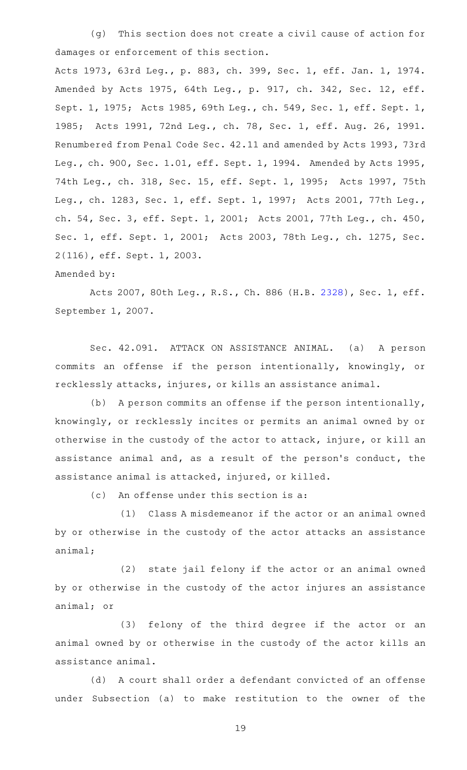(q) This section does not create a civil cause of action for damages or enforcement of this section.

Acts 1973, 63rd Leg., p. 883, ch. 399, Sec. 1, eff. Jan. 1, 1974. Amended by Acts 1975, 64th Leg., p. 917, ch. 342, Sec. 12, eff. Sept. 1, 1975; Acts 1985, 69th Leg., ch. 549, Sec. 1, eff. Sept. 1, 1985; Acts 1991, 72nd Leg., ch. 78, Sec. 1, eff. Aug. 26, 1991. Renumbered from Penal Code Sec. 42.11 and amended by Acts 1993, 73rd Leg., ch. 900, Sec. 1.01, eff. Sept. 1, 1994. Amended by Acts 1995, 74th Leg., ch. 318, Sec. 15, eff. Sept. 1, 1995; Acts 1997, 75th Leg., ch. 1283, Sec. 1, eff. Sept. 1, 1997; Acts 2001, 77th Leg., ch. 54, Sec. 3, eff. Sept. 1, 2001; Acts 2001, 77th Leg., ch. 450, Sec. 1, eff. Sept. 1, 2001; Acts 2003, 78th Leg., ch. 1275, Sec. 2(116), eff. Sept. 1, 2003.

## Amended by:

Acts 2007, 80th Leg., R.S., Ch. 886 (H.B. [2328](http://www.legis.state.tx.us/tlodocs/80R/billtext/html/HB02328F.HTM)), Sec. 1, eff. September 1, 2007.

Sec. 42.091. ATTACK ON ASSISTANCE ANIMAL. (a) A person commits an offense if the person intentionally, knowingly, or recklessly attacks, injures, or kills an assistance animal.

(b) A person commits an offense if the person intentionally, knowingly, or recklessly incites or permits an animal owned by or otherwise in the custody of the actor to attack, injure, or kill an assistance animal and, as a result of the person 's conduct, the assistance animal is attacked, injured, or killed.

 $(c)$  An offense under this section is a:

(1) Class A misdemeanor if the actor or an animal owned by or otherwise in the custody of the actor attacks an assistance animal;

(2) state jail felony if the actor or an animal owned by or otherwise in the custody of the actor injures an assistance animal; or

(3) felony of the third degree if the actor or an animal owned by or otherwise in the custody of the actor kills an assistance animal.

(d) A court shall order a defendant convicted of an offense under Subsection (a) to make restitution to the owner of the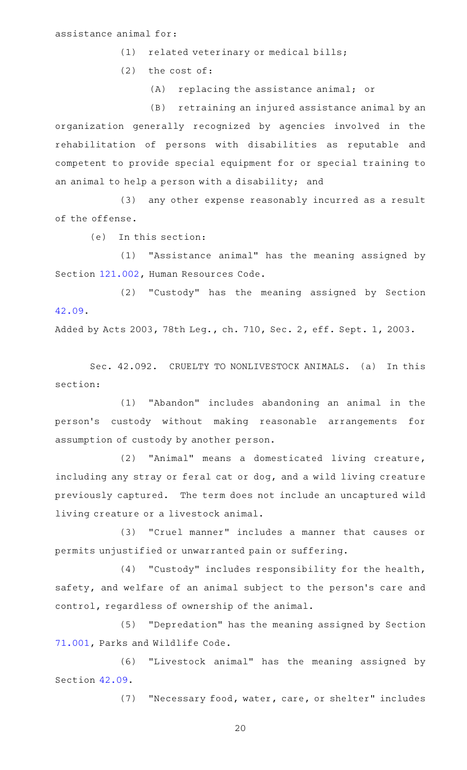## assistance animal for:

(1) related veterinary or medical bills;

 $(2)$  the cost of:

 $(A)$  replacing the assistance animal; or

(B) retraining an injured assistance animal by an organization generally recognized by agencies involved in the rehabilitation of persons with disabilities as reputable and competent to provide special equipment for or special training to an animal to help a person with a disability; and

(3) any other expense reasonably incurred as a result of the offense.

(e) In this section:

(1) "Assistance animal" has the meaning assigned by Section [121.002,](http://www.statutes.legis.state.tx.us/GetStatute.aspx?Code=HR&Value=121.002) Human Resources Code.

(2) "Custody" has the meaning assigned by Section [42.09.](http://www.statutes.legis.state.tx.us/GetStatute.aspx?Code=PE&Value=42.09)

Added by Acts 2003, 78th Leg., ch. 710, Sec. 2, eff. Sept. 1, 2003.

Sec. 42.092. CRUELTY TO NONLIVESTOCK ANIMALS. (a) In this section:

(1) "Abandon" includes abandoning an animal in the person 's custody without making reasonable arrangements for assumption of custody by another person.

 $(2)$  "Animal" means a domesticated living creature, including any stray or feral cat or dog, and a wild living creature previously captured. The term does not include an uncaptured wild living creature or a livestock animal.

(3) "Cruel manner" includes a manner that causes or permits unjustified or unwarranted pain or suffering.

(4) "Custody" includes responsibility for the health, safety, and welfare of an animal subject to the person's care and control, regardless of ownership of the animal.

(5) "Depredation" has the meaning assigned by Section [71.001](http://www.statutes.legis.state.tx.us/GetStatute.aspx?Code=PW&Value=71.001), Parks and Wildlife Code.

(6) "Livestock animal" has the meaning assigned by Section [42.09.](http://www.statutes.legis.state.tx.us/GetStatute.aspx?Code=PE&Value=42.09)

(7) "Necessary food, water, care, or shelter" includes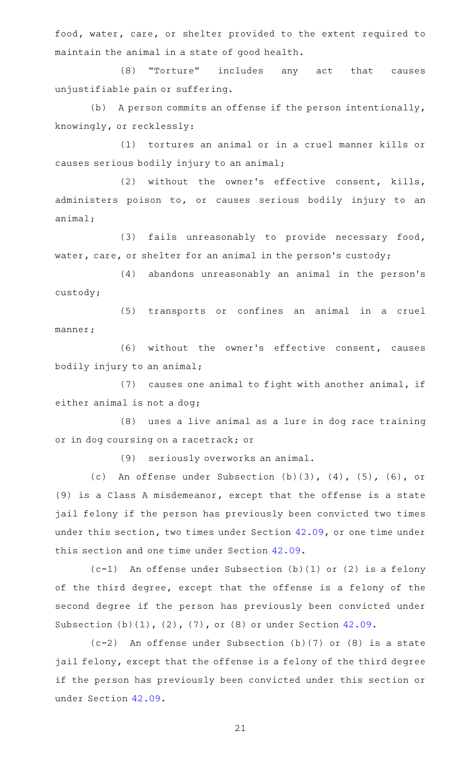food, water, care, or shelter provided to the extent required to maintain the animal in a state of good health.

(8) "Torture" includes any act that causes unjustifiable pain or suffering.

(b) A person commits an offense if the person intentionally, knowingly, or recklessly:

(1) tortures an animal or in a cruel manner kills or causes serious bodily injury to an animal;

 $(2)$  without the owner's effective consent, kills, administers poison to, or causes serious bodily injury to an animal;

(3) fails unreasonably to provide necessary food, water, care, or shelter for an animal in the person's custody;

(4) abandons unreasonably an animal in the person's custody;

(5) transports or confines an animal in a cruel manner;

(6) without the owner's effective consent, causes bodily injury to an animal;

(7) causes one animal to fight with another animal, if either animal is not a dog;

(8) uses a live animal as a lure in dog race training or in dog coursing on a racetrack; or

(9) seriously overworks an animal.

(c) An offense under Subsection  $(b)(3)$ ,  $(4)$ ,  $(5)$ ,  $(6)$ , or (9) is a Class A misdemeanor, except that the offense is a state jail felony if the person has previously been convicted two times under this section, two times under Section [42.09,](http://www.statutes.legis.state.tx.us/GetStatute.aspx?Code=PE&Value=42.09) or one time under this section and one time under Section [42.09](http://www.statutes.legis.state.tx.us/GetStatute.aspx?Code=PE&Value=42.09).

 $(c-1)$  An offense under Subsection (b)(1) or (2) is a felony of the third degree, except that the offense is a felony of the second degree if the person has previously been convicted under Subsection (b)(1), (2), (7), or (8) or under Section [42.09](http://www.statutes.legis.state.tx.us/GetStatute.aspx?Code=PE&Value=42.09).

 $(c-2)$  An offense under Subsection (b)(7) or (8) is a state jail felony, except that the offense is a felony of the third degree if the person has previously been convicted under this section or under Section [42.09](http://www.statutes.legis.state.tx.us/GetStatute.aspx?Code=PE&Value=42.09).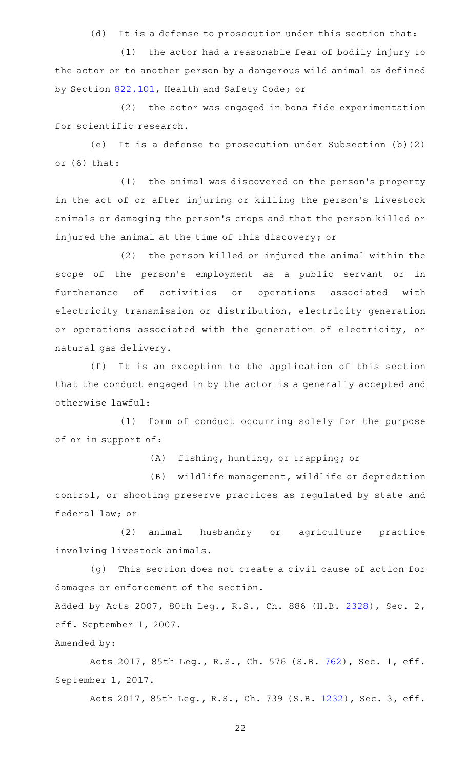(d) It is a defense to prosecution under this section that:

 $(1)$  the actor had a reasonable fear of bodily injury to the actor or to another person by a dangerous wild animal as defined by Section [822.101,](http://www.statutes.legis.state.tx.us/GetStatute.aspx?Code=HS&Value=822.101) Health and Safety Code; or

(2) the actor was engaged in bona fide experimentation for scientific research.

(e) It is a defense to prosecution under Subsection  $(b)(2)$ or (6) that:

(1) the animal was discovered on the person's property in the act of or after injuring or killing the person's livestock animals or damaging the person 's crops and that the person killed or injured the animal at the time of this discovery; or

(2) the person killed or injured the animal within the scope of the person's employment as a public servant or in furtherance of activities or operations associated with electricity transmission or distribution, electricity generation or operations associated with the generation of electricity, or natural gas delivery.

(f) It is an exception to the application of this section that the conduct engaged in by the actor is a generally accepted and otherwise lawful:

(1) form of conduct occurring solely for the purpose of or in support of:

(A) fishing, hunting, or trapping; or

(B) wildlife management, wildlife or depredation control, or shooting preserve practices as regulated by state and federal law; or

(2) animal husbandry or agriculture practice involving livestock animals.

(g) This section does not create a civil cause of action for damages or enforcement of the section.

Added by Acts 2007, 80th Leg., R.S., Ch. 886 (H.B. [2328](http://www.legis.state.tx.us/tlodocs/80R/billtext/html/HB02328F.HTM)), Sec. 2, eff. September 1, 2007.

Amended by:

Acts 2017, 85th Leg., R.S., Ch. 576 (S.B. [762](http://www.legis.state.tx.us/tlodocs/85R/billtext/html/SB00762F.HTM)), Sec. 1, eff. September 1, 2017.

Acts 2017, 85th Leg., R.S., Ch. 739 (S.B. [1232](http://www.legis.state.tx.us/tlodocs/85R/billtext/html/SB01232F.HTM)), Sec. 3, eff.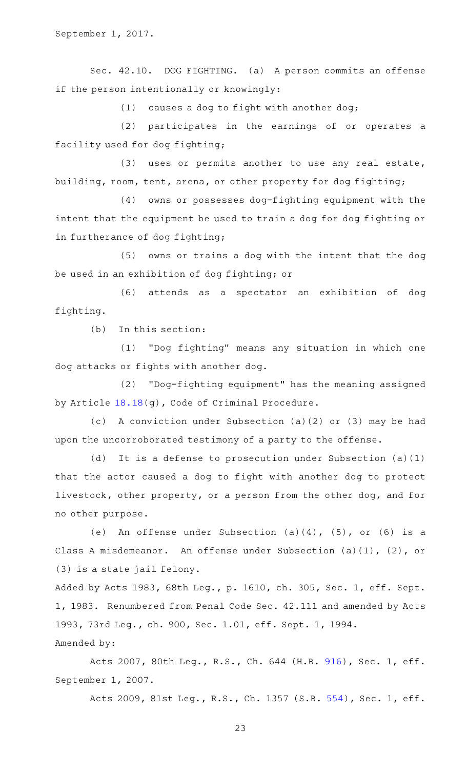Sec. 42.10. DOG FIGHTING. (a) A person commits an offense if the person intentionally or knowingly:

 $(1)$  causes a dog to fight with another dog;

(2) participates in the earnings of or operates a facility used for dog fighting;

 $(3)$  uses or permits another to use any real estate, building, room, tent, arena, or other property for dog fighting;

(4) owns or possesses dog-fighting equipment with the intent that the equipment be used to train a dog for dog fighting or in furtherance of dog fighting;

(5) owns or trains a dog with the intent that the dog be used in an exhibition of dog fighting; or

(6) attends as a spectator an exhibition of dog fighting.

 $(b)$  In this section:

(1) "Dog fighting" means any situation in which one dog attacks or fights with another dog.

(2) "Dog-fighting equipment" has the meaning assigned by Article [18.18\(](http://www.statutes.legis.state.tx.us/GetStatute.aspx?Code=CR&Value=18.18)g), Code of Criminal Procedure.

(c) A conviction under Subsection (a)(2) or (3) may be had upon the uncorroborated testimony of a party to the offense.

(d) It is a defense to prosecution under Subsection (a)(1) that the actor caused a dog to fight with another dog to protect livestock, other property, or a person from the other dog, and for no other purpose.

(e) An offense under Subsection  $(a)(4)$ ,  $(5)$ , or  $(6)$  is a Class A misdemeanor. An offense under Subsection (a)(1), (2), or (3) is a state jail felony.

Added by Acts 1983, 68th Leg., p. 1610, ch. 305, Sec. 1, eff. Sept. 1, 1983. Renumbered from Penal Code Sec. 42.111 and amended by Acts 1993, 73rd Leg., ch. 900, Sec. 1.01, eff. Sept. 1, 1994. Amended by:

Acts 2007, 80th Leg., R.S., Ch. 644 (H.B. [916](http://www.legis.state.tx.us/tlodocs/80R/billtext/html/HB00916F.HTM)), Sec. 1, eff. September 1, 2007.

Acts 2009, 81st Leg., R.S., Ch. 1357 (S.B. [554](http://www.legis.state.tx.us/tlodocs/81R/billtext/html/SB00554F.HTM)), Sec. 1, eff.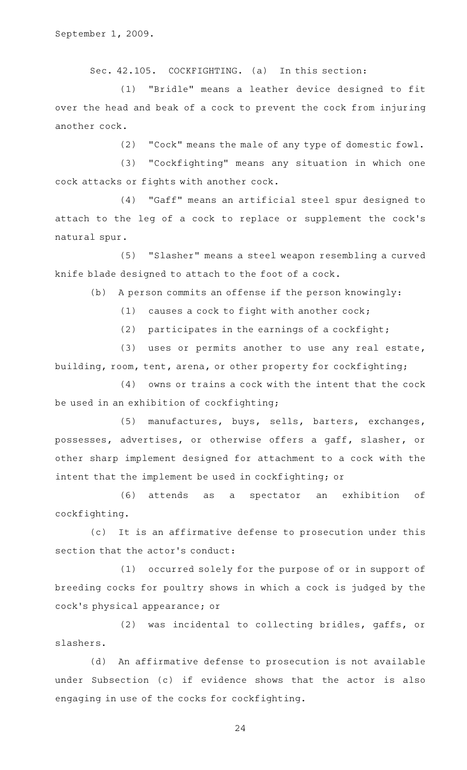Sec. 42.105. COCKFIGHTING. (a) In this section:

(1) "Bridle" means a leather device designed to fit over the head and beak of a cock to prevent the cock from injuring another cock.

(2) "Cock" means the male of any type of domestic fowl.

(3) "Cockfighting" means any situation in which one cock attacks or fights with another cock.

(4) "Gaff" means an artificial steel spur designed to attach to the leg of a cock to replace or supplement the cock 's natural spur.

(5) "Slasher" means a steel weapon resembling a curved knife blade designed to attach to the foot of a cock.

(b) A person commits an offense if the person knowingly:

(1) causes a cock to fight with another cock;

(2) participates in the earnings of a cockfight;

 $(3)$  uses or permits another to use any real estate, building, room, tent, arena, or other property for cockfighting;

 $(4)$  owns or trains a cock with the intent that the cock be used in an exhibition of cockfighting;

(5) manufactures, buys, sells, barters, exchanges, possesses, advertises, or otherwise offers a gaff, slasher, or other sharp implement designed for attachment to a cock with the intent that the implement be used in cockfighting; or

(6) attends as a spectator an exhibition of cockfighting.

(c) It is an affirmative defense to prosecution under this section that the actor's conduct:

(1) occurred solely for the purpose of or in support of breeding cocks for poultry shows in which a cock is judged by the cock 's physical appearance; or

(2) was incidental to collecting bridles, gaffs, or slashers.

(d) An affirmative defense to prosecution is not available under Subsection (c) if evidence shows that the actor is also engaging in use of the cocks for cockfighting.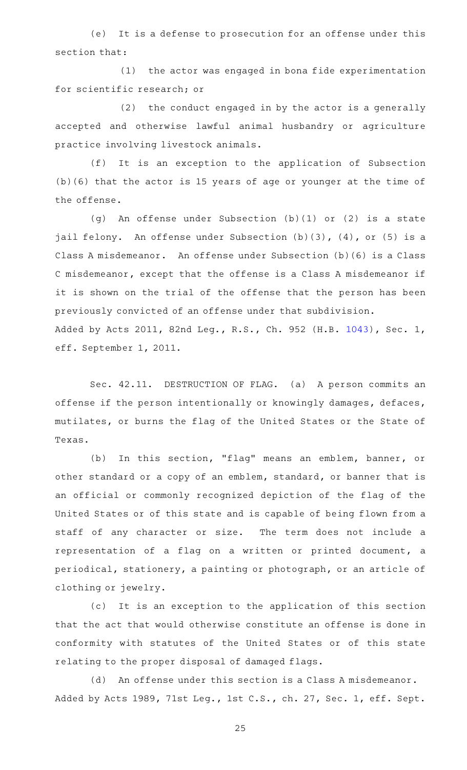(e) It is a defense to prosecution for an offense under this section that:

(1) the actor was engaged in bona fide experimentation for scientific research; or

 $(2)$  the conduct engaged in by the actor is a generally accepted and otherwise lawful animal husbandry or agriculture practice involving livestock animals.

(f) It is an exception to the application of Subsection (b)(6) that the actor is 15 years of age or younger at the time of the offense.

(g) An offense under Subsection (b)(1) or (2) is a state jail felony. An offense under Subsection (b)(3), (4), or (5) is a Class A misdemeanor. An offense under Subsection (b)(6) is a Class C misdemeanor, except that the offense is a Class A misdemeanor if it is shown on the trial of the offense that the person has been previously convicted of an offense under that subdivision. Added by Acts 2011, 82nd Leg., R.S., Ch. 952 (H.B. [1043](http://www.legis.state.tx.us/tlodocs/82R/billtext/html/HB01043F.HTM)), Sec. 1, eff. September 1, 2011.

Sec. 42.11. DESTRUCTION OF FLAG. (a) A person commits an offense if the person intentionally or knowingly damages, defaces, mutilates, or burns the flag of the United States or the State of Texas.

(b) In this section, "flag" means an emblem, banner, or other standard or a copy of an emblem, standard, or banner that is an official or commonly recognized depiction of the flag of the United States or of this state and is capable of being flown from a staff of any character or size. The term does not include a representation of a flag on a written or printed document, a periodical, stationery, a painting or photograph, or an article of clothing or jewelry.

(c) It is an exception to the application of this section that the act that would otherwise constitute an offense is done in conformity with statutes of the United States or of this state relating to the proper disposal of damaged flags.

(d) An offense under this section is a Class A misdemeanor. Added by Acts 1989, 71st Leg., 1st C.S., ch. 27, Sec. 1, eff. Sept.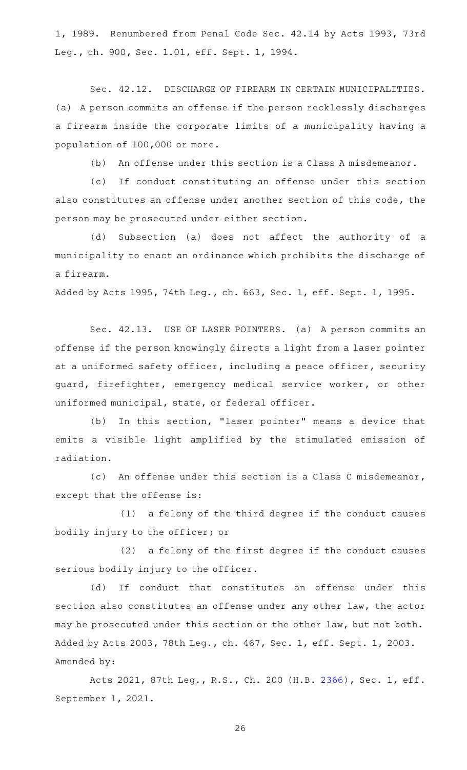1, 1989. Renumbered from Penal Code Sec. 42.14 by Acts 1993, 73rd Leg., ch. 900, Sec. 1.01, eff. Sept. 1, 1994.

Sec. 42.12. DISCHARGE OF FIREARM IN CERTAIN MUNICIPALITIES. (a) A person commits an offense if the person recklessly discharges a firearm inside the corporate limits of a municipality having a population of 100,000 or more.

(b) An offense under this section is a Class A misdemeanor.

(c) If conduct constituting an offense under this section also constitutes an offense under another section of this code, the person may be prosecuted under either section.

(d) Subsection (a) does not affect the authority of a municipality to enact an ordinance which prohibits the discharge of a firearm.

Added by Acts 1995, 74th Leg., ch. 663, Sec. 1, eff. Sept. 1, 1995.

Sec. 42.13. USE OF LASER POINTERS. (a) A person commits an offense if the person knowingly directs a light from a laser pointer at a uniformed safety officer, including a peace officer, security guard, firefighter, emergency medical service worker, or other uniformed municipal, state, or federal officer.

(b) In this section, "laser pointer" means a device that emits a visible light amplified by the stimulated emission of radiation.

(c) An offense under this section is a Class C misdemeanor, except that the offense is:

 $(1)$  a felony of the third degree if the conduct causes bodily injury to the officer; or

(2) a felony of the first degree if the conduct causes serious bodily injury to the officer.

(d) If conduct that constitutes an offense under this section also constitutes an offense under any other law, the actor may be prosecuted under this section or the other law, but not both. Added by Acts 2003, 78th Leg., ch. 467, Sec. 1, eff. Sept. 1, 2003. Amended by:

Acts 2021, 87th Leg., R.S., Ch. 200 (H.B. [2366](http://www.legis.state.tx.us/tlodocs/87R/billtext/html/HB02366F.HTM)), Sec. 1, eff. September 1, 2021.